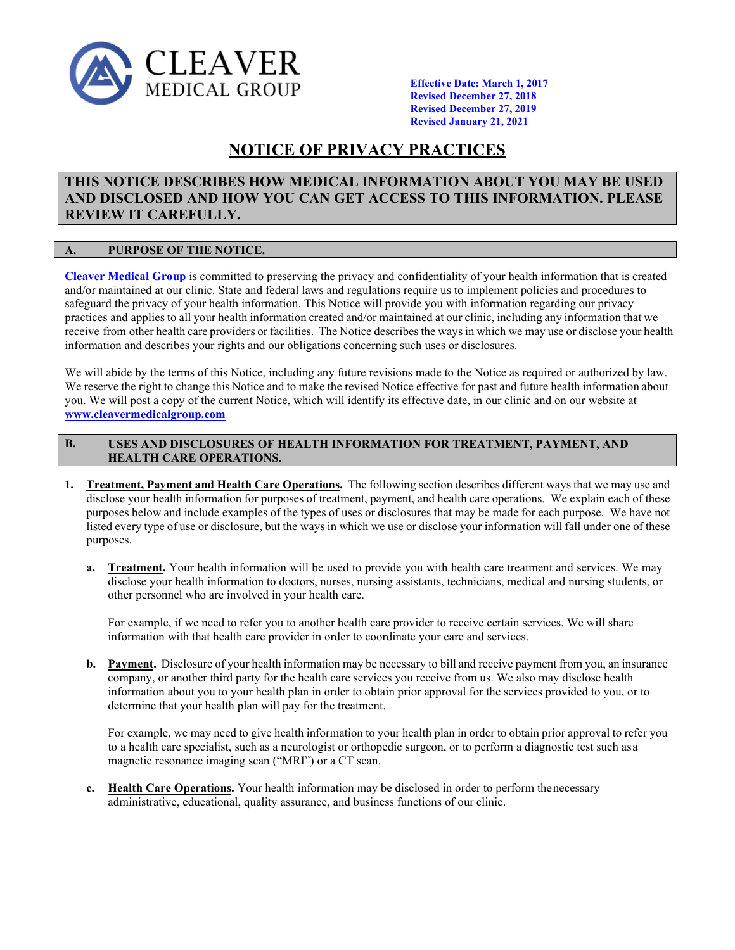

**Effective Date: March 1, 2017 Revised December 27, 2018 Revised December 27, 2019 Revised January 21, 2021**

# **NOTICE OF PRIVACY PRACTICES**

## **THIS NOTICE DESCRIBES HOW MEDICAL INFORMATION ABOUT YOU MAY BE USED AND DISCLOSED AND HOW YOU CAN GET ACCESS TO THIS INFORMATION. PLEASE REVIEW IT CAREFULLY.**

#### **A. PURPOSE OF THE NOTICE.**

**Cleaver Medical Group** is committed to preserving the privacy and confidentiality of your health information that is created and/or maintained at our clinic. State and federal laws and regulations require us to implement policies and procedures to safeguard the privacy of your health information. This Notice will provide you with information regarding our privacy practices and applies to all your health information created and/or maintained at our clinic, including any information that we receive from other health care providers or facilities. The Notice describesthe waysin which we may use or disclose your health information and describes your rights and our obligations concerning such uses or disclosures.

We will abide by the terms of this Notice, including any future revisions made to the Notice as required or authorized by law. We reserve the right to change this Notice and to make the revised Notice effective for past and future health information about you. We will post a copy of the current Notice, which will identify its effective date, in our clinic and on our website at **[www.cleavermedicalgroup.com](http://www.cleavermedicalgroup.com/)**

#### **USES AND DISCLOSURES OF HEALTH INFORMATION FOR TREATMENT, PAYMENT, AND HEALTH CARE OPERATIONS. B.**

- **1. Treatment, Payment and Health Care Operations.** The following section describes different ways that we may use and disclose your health information for purposes of treatment, payment, and health care operations. We explain each of these purposes below and include examples of the types of uses or disclosures that may be made for each purpose. We have not listed every type of use or disclosure, but the ways in which we use or disclose your information will fall under one of these purposes.
	- **a. Treatment.** Your health information will be used to provide you with health care treatment and services. We may disclose your health information to doctors, nurses, nursing assistants, technicians, medical and nursing students, or other personnel who are involved in your health care.

For example, if we need to refer you to another health care provider to receive certain services. We will share information with that health care provider in order to coordinate your care and services.

**b. Payment.** Disclosure of your health information may be necessary to bill and receive payment from you, an insurance company, or another third party for the health care services you receive from us. We also may disclose health information about you to your health plan in order to obtain prior approval for the services provided to you, or to determine that your health plan will pay for the treatment.

For example, we may need to give health information to your health plan in order to obtain prior approval to refer you to a health care specialist, such as a neurologist or orthopedic surgeon, or to perform a diagnostic test such asa magnetic resonance imaging scan ("MRI") or a CT scan.

**c. Health Care Operations.** Your health information may be disclosed in order to perform thenecessary administrative, educational, quality assurance, and business functions of our clinic.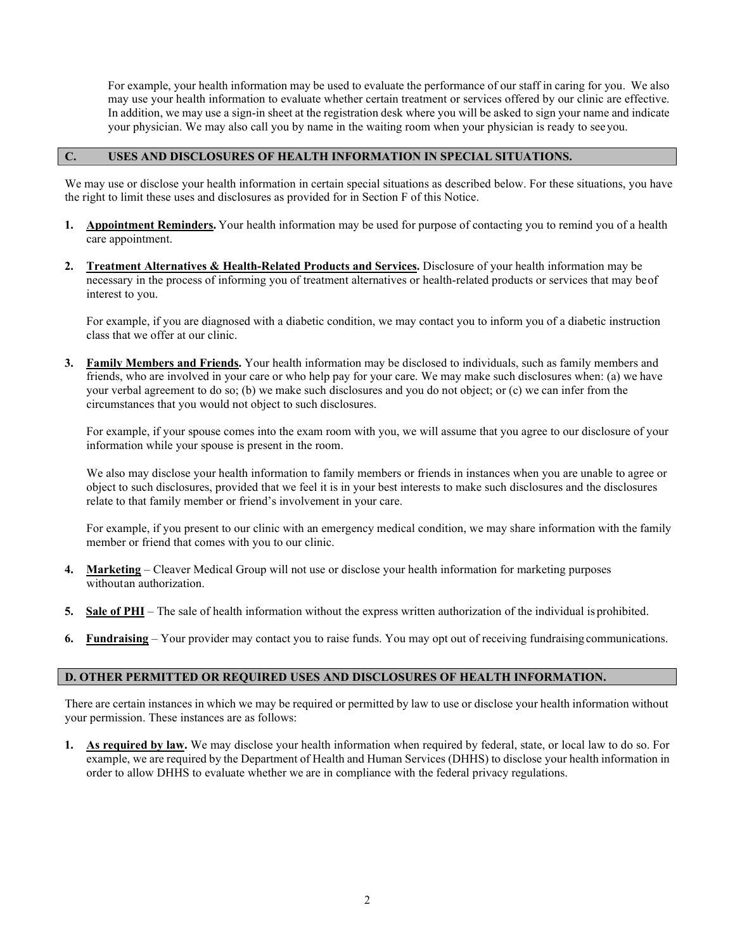For example, your health information may be used to evaluate the performance of our staff in caring for you. We also may use your health information to evaluate whether certain treatment or services offered by our clinic are effective. In addition, we may use a sign-in sheet at the registration desk where you will be asked to sign your name and indicate your physician. We may also call you by name in the waiting room when your physician is ready to seeyou.

#### **C. USES AND DISCLOSURES OF HEALTH INFORMATION IN SPECIAL SITUATIONS.**

We may use or disclose your health information in certain special situations as described below. For these situations, you have the right to limit these uses and disclosures as provided for in Section F of this Notice.

- **1. Appointment Reminders.** Your health information may be used for purpose of contacting you to remind you of a health care appointment.
- **2. Treatment Alternatives & Health-Related Products and Services.** Disclosure of your health information may be necessary in the process of informing you of treatment alternatives or health-related products or services that may beof interest to you.

For example, if you are diagnosed with a diabetic condition, we may contact you to inform you of a diabetic instruction class that we offer at our clinic.

**3. Family Members and Friends.** Your health information may be disclosed to individuals, such as family members and friends, who are involved in your care or who help pay for your care. We may make such disclosures when: (a) we have your verbal agreement to do so; (b) we make such disclosures and you do not object; or (c) we can infer from the circumstances that you would not object to such disclosures.

For example, if your spouse comes into the exam room with you, we will assume that you agree to our disclosure of your information while your spouse is present in the room.

We also may disclose your health information to family members or friends in instances when you are unable to agree or object to such disclosures, provided that we feel it is in your best interests to make such disclosures and the disclosures relate to that family member or friend's involvement in your care.

For example, if you present to our clinic with an emergency medical condition, we may share information with the family member or friend that comes with you to our clinic.

- **4. Marketing** Cleaver Medical Group will not use or disclose your health information for marketing purposes withoutan authorization.
- **5. Sale of PHI** The sale of health information without the express written authorization of the individual is prohibited.
- **6. Fundraising** Your provider may contact you to raise funds. You may opt out of receiving fundraising communications.

#### **D. OTHER PERMITTED OR REQUIRED USES AND DISCLOSURES OF HEALTH INFORMATION.**

There are certain instances in which we may be required or permitted by law to use or disclose your health information without your permission. These instances are as follows:

**1. As required by law.** We may disclose your health information when required by federal, state, or local law to do so. For example, we are required by the Department of Health and Human Services (DHHS) to disclose your health information in order to allow DHHS to evaluate whether we are in compliance with the federal privacy regulations.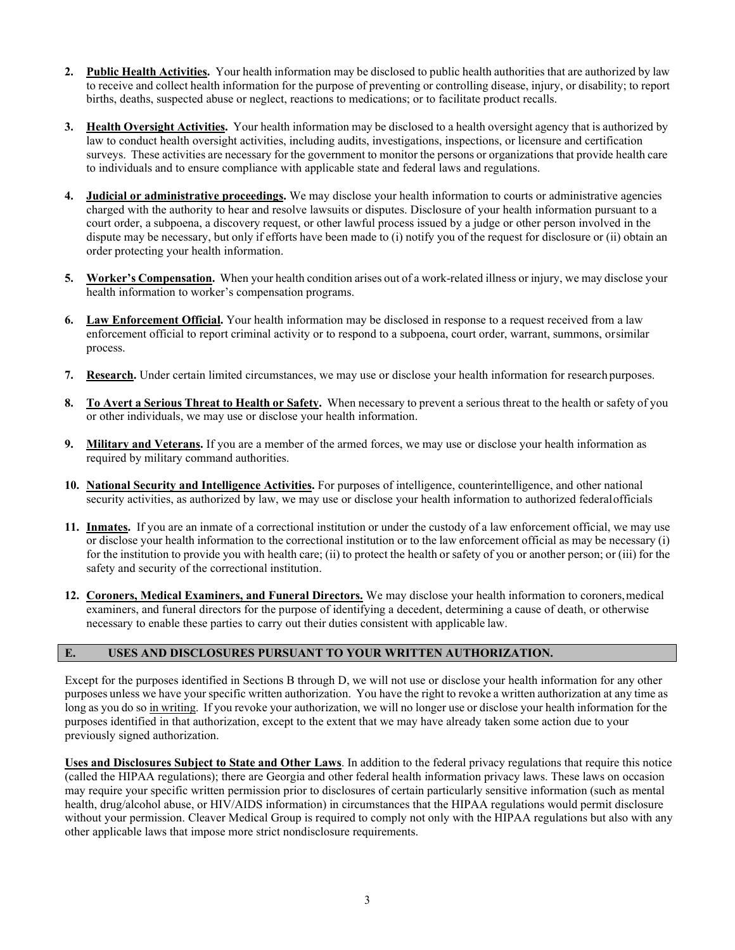- **2. Public Health Activities.** Your health information may be disclosed to public health authorities that are authorized by law to receive and collect health information for the purpose of preventing or controlling disease, injury, or disability; to report births, deaths, suspected abuse or neglect, reactions to medications; or to facilitate product recalls.
- **3. Health Oversight Activities.** Your health information may be disclosed to a health oversight agency that is authorized by law to conduct health oversight activities, including audits, investigations, inspections, or licensure and certification surveys. These activities are necessary for the government to monitor the persons or organizations that provide health care to individuals and to ensure compliance with applicable state and federal laws and regulations.
- **4. Judicial or administrative proceedings.** We may disclose your health information to courts or administrative agencies charged with the authority to hear and resolve lawsuits or disputes. Disclosure of your health information pursuant to a court order, a subpoena, a discovery request, or other lawful process issued by a judge or other person involved in the dispute may be necessary, but only if efforts have been made to (i) notify you of the request for disclosure or (ii) obtain an order protecting your health information.
- **5. Worker's Compensation.** When your health condition arises out of a work-related illness or injury, we may disclose your health information to worker's compensation programs.
- **6. Law Enforcement Official.** Your health information may be disclosed in response to a request received from a law enforcement official to report criminal activity or to respond to a subpoena, court order, warrant, summons, orsimilar process.
- **7. Research.** Under certain limited circumstances, we may use or disclose your health information for research purposes.
- **8. To Avert a Serious Threat to Health or Safety.** When necessary to prevent a serious threat to the health or safety of you or other individuals, we may use or disclose your health information.
- **9. Military and Veterans.** If you are a member of the armed forces, we may use or disclose your health information as required by military command authorities.
- **10. National Security and Intelligence Activities.** For purposes of intelligence, counterintelligence, and other national security activities, as authorized by law, we may use or disclose your health information to authorized federalofficials
- **11. Inmates.** If you are an inmate of a correctional institution or under the custody of a law enforcement official, we may use or disclose your health information to the correctional institution or to the law enforcement official as may be necessary (i) for the institution to provide you with health care; (ii) to protect the health or safety of you or another person; or (iii) for the safety and security of the correctional institution.
- 12. **Coroners, Medical Examiners, and Funeral Directors.** We may disclose your health information to coroners, medical examiners, and funeral directors for the purpose of identifying a decedent, determining a cause of death, or otherwise necessary to enable these parties to carry out their duties consistent with applicable law.

### **E. USES AND DISCLOSURES PURSUANT TO YOUR WRITTEN AUTHORIZATION.**

Except for the purposes identified in Sections B through D, we will not use or disclose your health information for any other purposes unless we have your specific written authorization. You have the right to revoke a written authorization at any time as long as you do so in writing. If you revoke your authorization, we will no longer use or disclose your health information for the purposes identified in that authorization, except to the extent that we may have already taken some action due to your previously signed authorization.

**Uses and Disclosures Subject to State and Other Laws**. In addition to the federal privacy regulations that require this notice (called the HIPAA regulations); there are Georgia and other federal health information privacy laws. These laws on occasion may require your specific written permission prior to disclosures of certain particularly sensitive information (such as mental health, drug/alcohol abuse, or HIV/AIDS information) in circumstances that the HIPAA regulations would permit disclosure without your permission. Cleaver Medical Group is required to comply not only with the HIPAA regulations but also with any other applicable laws that impose more strict nondisclosure requirements.